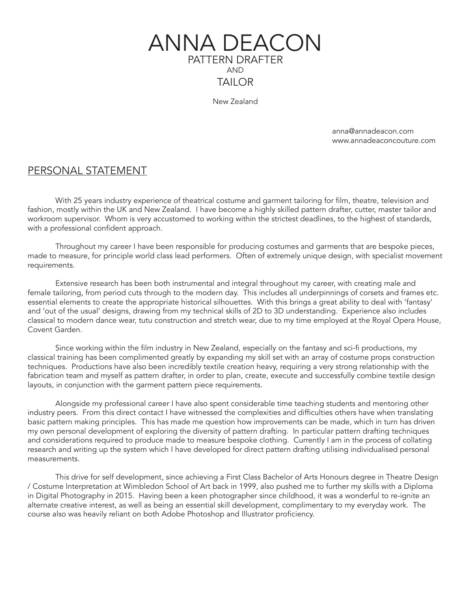

New Zealand

 anna@annadeacon.com www.annadeaconcouture.com

### PERSONAL STATEMENT

With 25 years industry experience of theatrical costume and garment tailoring for film, theatre, television and fashion, mostly within the UK and New Zealand. I have become a highly skilled pattern drafter, cutter, master tailor and workroom supervisor. Whom is very accustomed to working within the strictest deadlines, to the highest of standards, with a professional confident approach.

Throughout my career I have been responsible for producing costumes and garments that are bespoke pieces, made to measure, for principle world class lead performers. Often of extremely unique design, with specialist movement requirements.

Extensive research has been both instrumental and integral throughout my career, with creating male and female tailoring, from period cuts through to the modern day. This includes all underpinnings of corsets and frames etc. essential elements to create the appropriate historical silhouettes. With this brings a great ability to deal with 'fantasy' and 'out of the usual' designs, drawing from my technical skills of 2D to 3D understanding. Experience also includes classical to modern dance wear, tutu construction and stretch wear, due to my time employed at the Royal Opera House, Covent Garden.

Since working within the film industry in New Zealand, especially on the fantasy and sci-fi productions, my classical training has been complimented greatly by expanding my skill set with an array of costume props construction techniques. Productions have also been incredibly textile creation heavy, requiring a very strong relationship with the fabrication team and myself as pattern drafter, in order to plan, create, execute and successfully combine textile design layouts, in conjunction with the garment pattern piece requirements.

Alongside my professional career I have also spent considerable time teaching students and mentoring other industry peers. From this direct contact I have witnessed the complexities and difficulties others have when translating basic pattern making principles. This has made me question how improvements can be made, which in turn has driven my own personal development of exploring the diversity of pattern drafting. In particular pattern drafting techniques and considerations required to produce made to measure bespoke clothing. Currently I am in the process of collating research and writing up the system which I have developed for direct pattern drafting utilising individualised personal measurements.

This drive for self development, since achieving a First Class Bachelor of Arts Honours degree in Theatre Design / Costume Interpretation at Wimbledon School of Art back in 1999, also pushed me to further my skills with a Diploma in Digital Photography in 2015. Having been a keen photographer since childhood, it was a wonderful to re-ignite an alternate creative interest, as well as being an essential skill development, complimentary to my everyday work. The course also was heavily reliant on both Adobe Photoshop and Illustrator proficiency.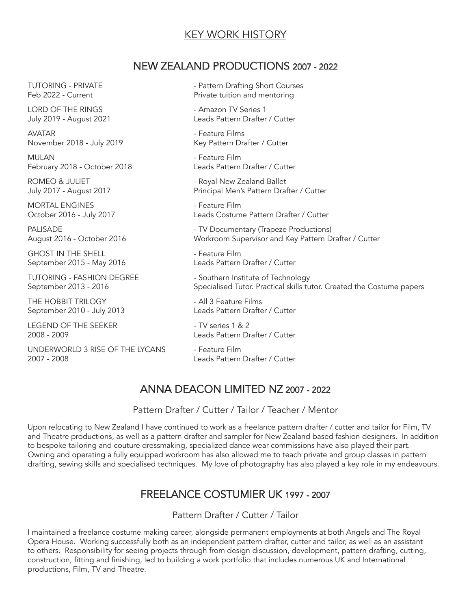## KEY WORK HISTORY

### NEW ZEALAND PRODUCTIONS 2007 - 2022

LORD OF THE RINGS **ALCORY CONTROLLY SERVICES** 1

AVATAR - Feature Films

MULAN - Feature Film February 2018 - October 2018 Leads Pattern Drafter / Cutter

MORTAL ENGINES **And Account Contract Contract Contract Contract Contract Contract Contract Contract Contract Contract Contract Contract Contract Contract Contract Contract Contract Contract Contract Contract Contract Contr** 

September 2015 - May 2016

TUTORING - FASHION DEGREE - Southern Institute of Technology

September 2010 - July 2013

LEGEND OF THE SEEKER THE SEEKER THE SERIES 1 & 2

UNDERWORLD 3 RISE OF THE LYCANS - Feature Film 2007 - 2008 Leads Pattern Drafter / Cutter

TUTORING - PRIVATE - Pattern Drafting Short Courses Feb 2022 - Current **Private tuition and mentoring** 

July 2019 - August 2021 Leads Pattern Drafter / Cutter

November 2018 - July 2019 Key Pattern Drafter / Cutter

ROMEO & JULIET **All Accord Contract Contract Contract Contract Contract Contract Contract Contract Contract Contract Contract Contract Contract Contract Contract Contract Contract Contract Contract Contract Contract Contra** July 2017 - August 2017 Principal Men's Pattern Drafter / Cutter

October 2016 - July 2017 Leads Costume Pattern Drafter / Cutter

PALISADE **Allace According to the COV** - TV Documentary (Trapeze Productions) August 2016 - October 2016 Workroom Supervisor and Key Pattern Drafter / Cutter

GHOST IN THE SHELL - Feature Film

September 2013 - 2016 Specialised Tutor. Practical skills tutor. Created the Costume papers

THE HOBBIT TRILOGY<br>September 2010 - July 2013 - All 3 Feature Films<br>Leads Pattern Drafter / Cutter

2008 - 2009 Leads Pattern Drafter / Cutter

# ANNA DEACON LIMITED NZ 2007 - 2022

Pattern Drafter / Cutter / Tailor / Teacher / Mentor

Upon relocating to New Zealand I have continued to work as a freelance pattern drafter / cutter and tailor for Film, TV and Theatre productions, as well as a pattern drafter and sampler for New Zealand based fashion designers. In addition to bespoke tailoring and couture dressmaking, specialized dance wear commissions have also played their part. Owning and operating a fully equipped workroom has also allowed me to teach private and group classes in pattern drafting, sewing skills and specialised techniques. My love of photography has also played a key role in my endeavours.

# FREELANCE COSTUMIER UK 1997 - 2007

Pattern Drafter / Cutter / Tailor

I maintained a freelance costume making career, alongside permanent employments at both Angels and The Royal Opera House. Working successfully both as an independent pattern drafter, cutter and tailor, as well as an assistant to others. Responsibility for seeing projects through from design discussion, development, pattern drafting, cutting, construction, fitting and finishing, led to building a work portfolio that includes numerous UK and International productions, Film, TV and Theatre.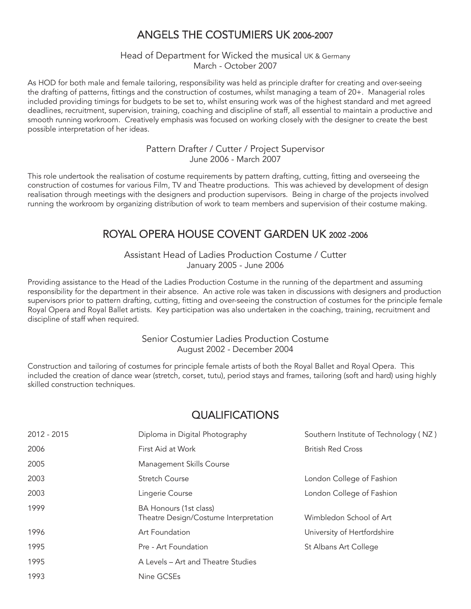# ANGELS THE COSTUMIERS UK 2006-2007

Head of Department for Wicked the musical UK & Germany March - October 2007

As HOD for both male and female tailoring, responsibility was held as principle drafter for creating and over-seeing the drafting of patterns, fittings and the construction of costumes, whilst managing a team of 20+. Managerial roles included providing timings for budgets to be set to, whilst ensuring work was of the highest standard and met agreed deadlines, recruitment, supervision, training, coaching and discipline of staff, all essential to maintain a productive and smooth running workroom. Creatively emphasis was focused on working closely with the designer to create the best possible interpretation of her ideas.

> Pattern Drafter / Cutter / Project Supervisor June 2006 - March 2007

This role undertook the realisation of costume requirements by pattern drafting, cutting, fitting and overseeing the construction of costumes for various Film, TV and Theatre productions. This was achieved by development of design realisation through meetings with the designers and production supervisors. Being in charge of the projects involved running the workroom by organizing distribution of work to team members and supervision of their costume making.

# ROYAL OPERA HOUSE COVENT GARDEN UK 2002 -2006

Assistant Head of Ladies Production Costume / Cutter January 2005 - June 2006

Providing assistance to the Head of the Ladies Production Costume in the running of the department and assuming responsibility for the department in their absence. An active role was taken in discussions with designers and production supervisors prior to pattern drafting, cutting, fitting and over-seeing the construction of costumes for the principle female Royal Opera and Royal Ballet artists. Key participation was also undertaken in the coaching, training, recruitment and discipline of staff when required.

### Senior Costumier Ladies Production Costume August 2002 - December 2004

Construction and tailoring of costumes for principle female artists of both the Royal Ballet and Royal Opera. This included the creation of dance wear (stretch, corset, tutu), period stays and frames, tailoring (soft and hard) using highly skilled construction techniques.

# **QUALIFICATIONS**

| 2012 - 2015 | Diploma in Digital Photography                                  | Southern Institute of Technology (NZ) |
|-------------|-----------------------------------------------------------------|---------------------------------------|
| 2006        | First Aid at Work                                               | <b>British Red Cross</b>              |
| 2005        | Management Skills Course                                        |                                       |
| 2003        | <b>Stretch Course</b>                                           | London College of Fashion             |
| 2003        | Lingerie Course                                                 | London College of Fashion             |
| 1999        | BA Honours (1st class)<br>Theatre Design/Costume Interpretation | Wimbledon School of Art               |
| 1996        | Art Foundation                                                  | University of Hertfordshire           |
| 1995        | Pre - Art Foundation                                            | St Albans Art College                 |
| 1995        | A Levels – Art and Theatre Studies                              |                                       |
| 1993        | Nine GCSEs                                                      |                                       |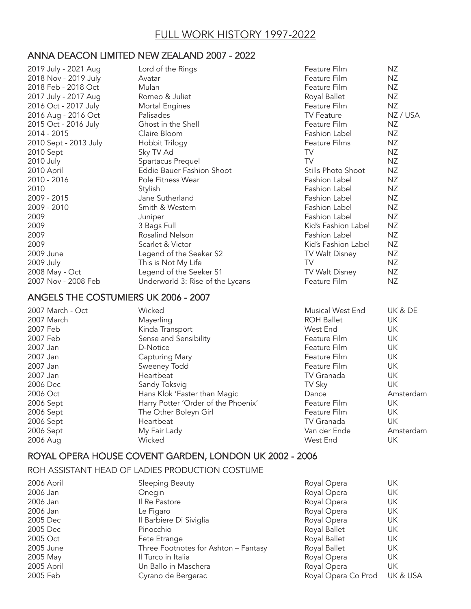### ANNA DEACON LIMITED NEW ZEALAND 2007 - 2022

| 2019 July - 2021 Aug  | Lord of the Rings                    | Feature Film         | <b>NZ</b> |
|-----------------------|--------------------------------------|----------------------|-----------|
| 2018 Nov - 2019 July  | Avatar                               | Feature Film         | <b>NZ</b> |
| 2018 Feb - 2018 Oct   | Mulan                                | Feature Film         | <b>NZ</b> |
| 2017 July - 2017 Aug  | Romeo & Juliet                       | Royal Ballet         | <b>NZ</b> |
| 2016 Oct - 2017 July  | Mortal Engines                       | Feature Film         | <b>NZ</b> |
| 2016 Aug - 2016 Oct   | Palisades                            | <b>TV Feature</b>    | NZ / USA  |
| 2015 Oct - 2016 July  | Ghost in the Shell                   | Feature Film         | <b>NZ</b> |
| 2014 - 2015           | Claire Bloom                         | Fashion Label        | <b>NZ</b> |
| 2010 Sept - 2013 July | Hobbit Trilogy                       | Feature Films        | <b>NZ</b> |
| 2010 Sept             | Sky TV Ad                            | TV.                  | <b>NZ</b> |
| 2010 July             | Spartacus Prequel                    | <b>TV</b>            | <b>NZ</b> |
| 2010 April            | Eddie Bauer Fashion Shoot            | Stills Photo Shoot   | <b>NZ</b> |
| 2010 - 2016           | Pole Fitness Wear                    | Fashion Label        | <b>NZ</b> |
| 2010                  | Stylish                              | <b>Fashion Label</b> | <b>NZ</b> |
| 2009 - 2015           | Jane Sutherland                      | Fashion Label        | <b>NZ</b> |
| 2009 - 2010           | Smith & Western                      | Fashion Label        | <b>NZ</b> |
| 2009                  | Juniper                              | Fashion Label        | <b>NZ</b> |
| 2009                  | 3 Bags Full                          | Kid's Fashion Label  | <b>NZ</b> |
| 2009                  | Rosalind Nelson                      | Fashion Label        | <b>NZ</b> |
| 2009                  | Scarlet & Victor                     | Kid's Fashion Label  | <b>NZ</b> |
| 2009 June             | Legend of the Seeker S2              | TV Walt Disney       | <b>NZ</b> |
| 2009 July             | This is Not My Life                  | TV                   | <b>NZ</b> |
| 2008 May - Oct        | Legend of the Seeker S1              | TV Walt Disney       | <b>NZ</b> |
| 2007 Nov - 2008 Feb   | Underworld 3: Rise of the Lycans     | Feature Film         | <b>NZ</b> |
|                       | ANGELS THE COSTUMIERS UK 2006 - 2007 |                      |           |
| 2007 March - Oct      | Wicked                               | Musical West End     | UK & DE   |
| 2007 March            | Mayerling                            | <b>ROH Ballet</b>    | UK        |
| 2007 Feb              | Kinda Transport                      | West End             | UK        |
| 2007 Feb              | Sense and Sensibility                | Feature Film         | UK        |
| 2007 Jan              | D-Notice                             | Feature Film         | UK        |
| 2007 Jan              | Capturing Mary                       | Feature Film         | UK        |
| 2007 Jan              | Sweeney Todd                         | Feature Film         | UK        |
| 2007 Jan              | Heartbeat                            | TV Granada           | UK        |
| 2006 Dec              | Sandy Toksvig                        | TV Sky               | <b>UK</b> |
| 2006 Oct              | Hans Klok 'Faster than Magic         | Dance                | Amsterdam |
| 2006 Sept             | Harry Potter 'Order of the Phoenix'  | Feature Film         | UK        |
| 2006 Sept             | The Other Boleyn Girl                | Feature Film         | UK        |
| 2006 Sept             | Heartbeat                            | TV Granada           | <b>UK</b> |
| 2006 Sept             | My Fair Lady                         | Van der Ende         | Amsterdam |
| 2006 Aug              | Wicked                               | West End             | UK        |
|                       |                                      |                      |           |

## ROYAL OPERA HOUSE COVENT GARDEN, LONDON UK 2002 - 2006

ROH ASSISTANT HEAD OF LADIES PRODUCTION COSTUME

| 2006 April | Sleeping Beauty                      | Royal Opera         | UK       |
|------------|--------------------------------------|---------------------|----------|
| 2006 Jan   | Onegin                               | Royal Opera         | UK       |
| 2006 Jan   | Il Re Pastore                        | Royal Opera         | UK       |
| 2006 Jan   | Le Figaro                            | Royal Opera         | UK       |
| 2005 Dec   | Il Barbiere Di Siviglia              | Royal Opera         | UK       |
| 2005 Dec   | Pinocchio                            | Royal Ballet        | UK       |
| 2005 Oct   | Fete Etrange                         | Royal Ballet        | UK       |
| 2005 June  | Three Footnotes for Ashton - Fantasy | Royal Ballet        | UK       |
| 2005 May   | Il Turco in Italia                   | Royal Opera         | UK       |
| 2005 April | Un Ballo in Maschera                 | Royal Opera         | UK       |
| 2005 Feb   | Cyrano de Bergerac                   | Royal Opera Co Prod | UK & USA |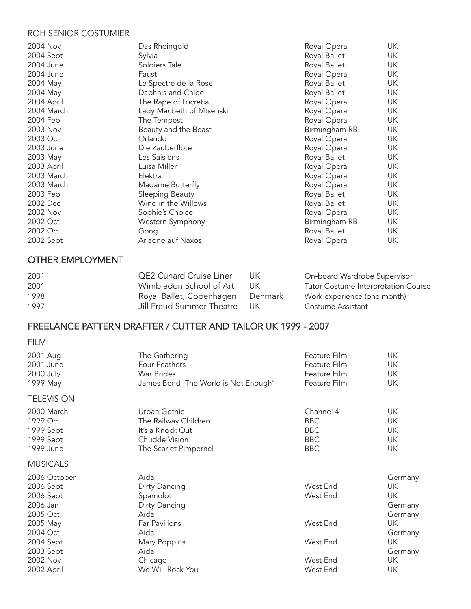#### ROH SENIOR COSTUMIER

| 2004 Nov   | Das Rheingold            | Royal Opera   | UK |
|------------|--------------------------|---------------|----|
| 2004 Sept  | Sylvia                   | Royal Ballet  | UK |
| 2004 June  | Soldiers Tale            | Royal Ballet  | UK |
| 2004 June  | Faust                    | Royal Opera   | UK |
| 2004 May   | Le Spectre de la Rose    | Royal Ballet  | UK |
| 2004 May   | Daphnis and Chloe        | Royal Ballet  | UK |
| 2004 April | The Rape of Lucretia     | Royal Opera   | UK |
| 2004 March | Lady Macbeth of Mtsenski | Royal Opera   | UK |
| 2004 Feb   | The Tempest              | Royal Opera   | UK |
| 2003 Nov   | Beauty and the Beast     | Birmingham RB | UK |
| 2003 Oct   | Orlando                  | Royal Opera   | UK |
| 2003 June  | Die Zauberflote          | Royal Opera   | UK |
| 2003 May   | Les Saisions             | Royal Ballet  | UK |
| 2003 April | Luisa Miller             | Royal Opera   | UK |
| 2003 March | Elektra                  | Royal Opera   | UK |
| 2003 March | Madame Butterfly         | Royal Opera   | UK |
| 2003 Feb   | Sleeping Beauty          | Royal Ballet  | UK |
| 2002 Dec   | Wind in the Willows      | Royal Ballet  | UK |
| 2002 Nov   | Sophie's Choice          | Royal Opera   | UK |
| 2002 Oct   | Western Symphony         | Birmingham RB | UK |
| 2002 Oct   | Gong                     | Royal Ballet  | UK |
| 2002 Sept  | Ariadne auf Naxos        | Royal Opera   | UK |

## OTHER EMPLOYMENT

| 2001 | <b>QE2 Cunard Cruise Liner</b> | TIK.    | On-board Wardrobe Supervisor        |
|------|--------------------------------|---------|-------------------------------------|
| 2001 | Wimbledon School of Art        | T IK.   | Tutor Costume Interpretation Course |
| 1998 | Royal Ballet, Copenhagen       | Denmark | Work experience (one month)         |
| 1997 | Jill Freud Summer Theatre      | - UK    | Costume Assistant                   |

## FREELANCE PATTERN DRAFTER / CUTTER AND TAILOR UK 1999 - 2007

#### FILM

| 2001 Aug          | The Gathering                        | Feature Film | UK        |
|-------------------|--------------------------------------|--------------|-----------|
| 2001 June         | Four Feathers                        | Feature Film | UK        |
| 2000 July         | <b>War Brides</b>                    | Feature Film | UK        |
| 1999 May          | James Bond 'The World is Not Enough' | Feature Film | <b>UK</b> |
| <b>TELEVISION</b> |                                      |              |           |
| 2000 March        | Urban Gothic                         | Channel 4    | UK        |
| 1999 Oct          | The Railway Children                 | <b>BBC</b>   | UK        |
| 1999 Sept         | It's a Knock Out                     | <b>BBC</b>   | UK        |
| 1999 Sept         | Chuckle Vision                       | <b>BBC</b>   | <b>UK</b> |
| 1999 June         | The Scarlet Pimpernel                | <b>BBC</b>   | UK        |
| <b>MUSICALS</b>   |                                      |              |           |
| 2006 October      | Aida                                 |              | Germany   |
| 2006 Sept         | Dirty Dancing                        | West End     | UK        |
| 2006 Sept         | Spamolot                             | West End     | UK        |
| 2006 Jan          | Dirty Dancing                        |              | Germany   |
| 2005 Oct          | Aida                                 |              | Germany   |
| 2005 May          | Far Pavilions                        | West End     | UK.       |
| 2004 Oct          | Aida                                 |              | Germany   |
| 2004 Sept         | Mary Poppins                         | West End     | UK        |
| 2003 Sept         | Aida                                 |              | Germany   |
| 2002 Nov          | Chicago                              | West End     | UK.       |
| 2002 April        | We Will Rock You                     | West End     | UK        |